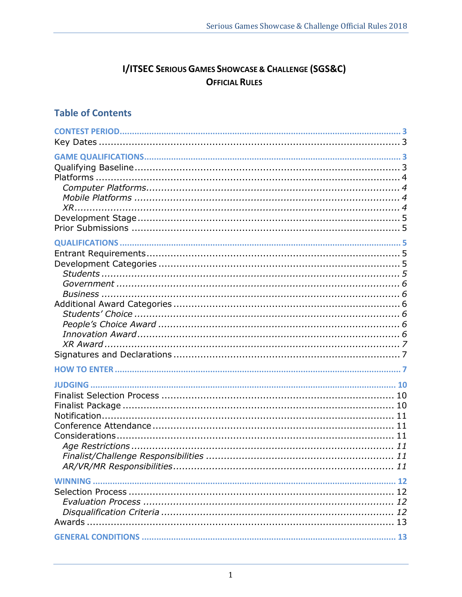# **I/ITSEC SERIOUS GAMES SHOWCASE & CHALLENGE (SGS&C) OFFICIAL RULES**

# **Table of Contents**

| 13 |  |
|----|--|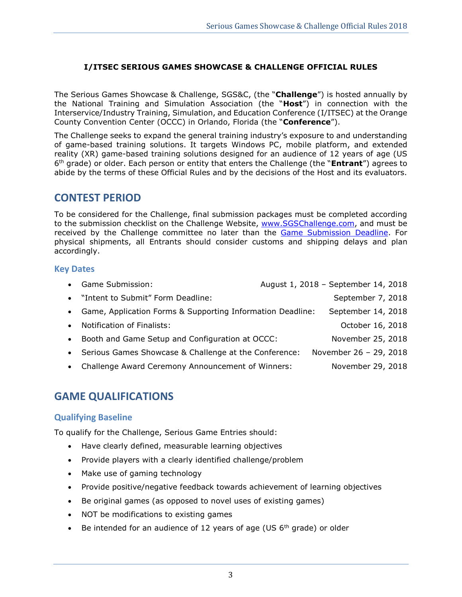## **I/ITSEC SERIOUS GAMES SHOWCASE & CHALLENGE OFFICIAL RULES**

The Serious Games Showcase & Challenge, SGS&C, (the "**Challenge**") is hosted annually by the National Training and Simulation Association (the "**Host**") in connection with the Interservice/Industry Training, Simulation, and Education Conference (I/ITSEC) at the Orange County Convention Center (OCCC) in Orlando, Florida (the "**Conference**").

The Challenge seeks to expand the general training industry's exposure to and understanding of game-based training solutions. It targets Windows PC, mobile platform, and extended reality (XR) game-based training solutions designed for an audience of 12 years of age (US 6 th grade) or older. Each person or entity that enters the Challenge (the "**Entrant**") agrees to abide by the terms of these Official Rules and by the decisions of the Host and its evaluators.

## <span id="page-2-0"></span>**CONTEST PERIOD**

To be considered for the Challenge, final submission packages must be completed according to the submission checklist on the Challenge Website, [www.SGSChallenge.com,](http://www.sgschallenge.com/) and must be received by the Challenge committee no later than the Game Submission Deadline. For physical shipments, all Entrants should consider customs and shipping delays and plan accordingly.

## <span id="page-2-1"></span>**Key Dates**

<span id="page-2-4"></span>

|           | • Game Submission:                                           | August 1, 2018 - September 14, 2018 |  |
|-----------|--------------------------------------------------------------|-------------------------------------|--|
|           | • "Intent to Submit" Form Deadline:                          | September 7, 2018                   |  |
|           | • Game, Application Forms & Supporting Information Deadline: | September 14, 2018                  |  |
|           | • Notification of Finalists:                                 | October 16, 2018                    |  |
| $\bullet$ | Booth and Game Setup and Configuration at OCCC:              | November 25, 2018                   |  |
|           | • Serious Games Showcase & Challenge at the Conference:      | November 26 - 29, 2018              |  |
| $\bullet$ | Challenge Award Ceremony Announcement of Winners:            | November 29, 2018                   |  |

# <span id="page-2-2"></span>**GAME QUALIFICATIONS**

## <span id="page-2-3"></span>**Qualifying Baseline**

To qualify for the Challenge, Serious Game Entries should:

- Have clearly defined, measurable learning objectives
- Provide players with a clearly identified challenge/problem
- Make use of gaming technology
- Provide positive/negative feedback towards achievement of learning objectives
- Be original games (as opposed to novel uses of existing games)
- NOT be modifications to existing games
- Be intended for an audience of 12 years of age (US  $6<sup>th</sup>$  grade) or older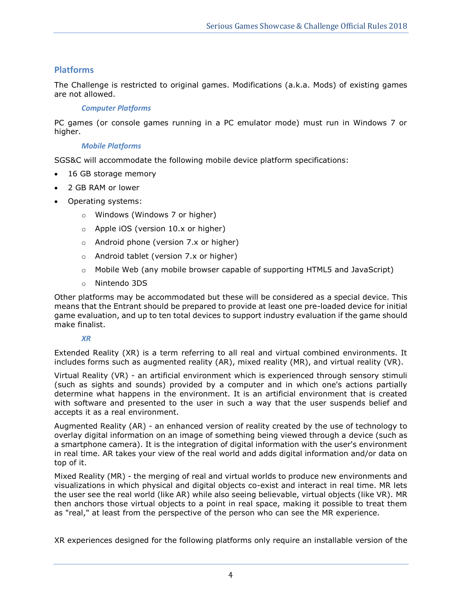## <span id="page-3-0"></span>**Platforms**

<span id="page-3-1"></span>The Challenge is restricted to original games. Modifications (a.k.a. Mods) of existing games are not allowed.

## *Computer Platforms*

<span id="page-3-2"></span>PC games (or console games running in a PC emulator mode) must run in Windows 7 or higher.

## *Mobile Platforms*

SGS&C will accommodate the following mobile device platform specifications:

- 16 GB storage memory
- 2 GB RAM or lower
- Operating systems:
	- o Windows (Windows 7 or higher)
	- o Apple iOS (version 10.x or higher)
	- o Android phone (version 7.x or higher)
	- o Android tablet (version 7.x or higher)
	- o Mobile Web (any mobile browser capable of supporting HTML5 and JavaScript)
	- o Nintendo 3DS

Other platforms may be accommodated but these will be considered as a special device. This means that the Entrant should be prepared to provide at least one pre-loaded device for initial game evaluation, and up to ten total devices to support industry evaluation if the game should make finalist.

## *XR*

<span id="page-3-3"></span>Extended Reality (XR) is a term referring to all real and virtual combined environments. It includes forms such as augmented reality (AR), mixed reality (MR), and virtual reality (VR).

Virtual Reality (VR) - an artificial environment which is experienced through sensory stimuli (such as sights and sounds) provided by a computer and in which one's actions partially determine what happens in the environment. It is an artificial environment that is created with software and presented to the user in such a way that the user suspends belief and accepts it as a real environment.

Augmented Reality (AR) - an enhanced version of reality created by the use of technology to overlay digital information on an image of something being viewed through a device (such as a smartphone camera). It is the integration of digital information with the user's environment in real time. AR takes your view of the real world and adds digital information and/or data on top of it.

Mixed Reality (MR) - the merging of real and virtual worlds to produce new environments and visualizations in which physical and digital objects co-exist and interact in real time. MR lets the user see the real world (like AR) while also seeing believable, virtual objects (like VR). MR then anchors those virtual objects to a point in real space, making it possible to treat them as "real," at least from the perspective of the person who can see the MR experience.

XR experiences designed for the following platforms only require an installable version of the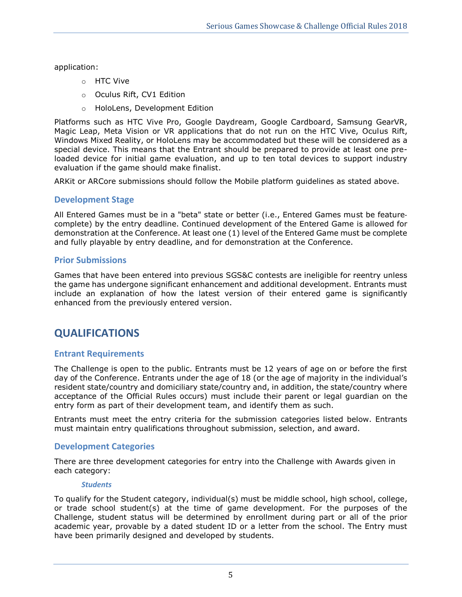application:

- o HTC Vive
- o Oculus Rift, CV1 Edition
- o HoloLens, Development Edition

Platforms such as HTC Vive Pro, Google Daydream, Google Cardboard, Samsung GearVR, Magic Leap, Meta Vision or VR applications that do not run on the HTC Vive, Oculus Rift, Windows Mixed Reality, or HoloLens may be accommodated but these will be considered as a special device. This means that the Entrant should be prepared to provide at least one preloaded device for initial game evaluation, and up to ten total devices to support industry evaluation if the game should make finalist.

<span id="page-4-0"></span>ARKit or ARCore submissions should follow the Mobile platform guidelines as stated above.

## **Development Stage**

All Entered Games must be in a "beta" state or better (i.e., Entered Games must be feature‐ complete) by the entry deadline. Continued development of the Entered Game is allowed for demonstration at the Conference. At least one (1) level of the Entered Game must be complete and fully playable by entry deadline, and for demonstration at the Conference.

## <span id="page-4-1"></span>**Prior Submissions**

Games that have been entered into previous SGS&C contests are ineligible for reentry unless the game has undergone significant enhancement and additional development. Entrants must include an explanation of how the latest version of their entered game is significantly enhanced from the previously entered version.

# <span id="page-4-2"></span>**QUALIFICATIONS**

## <span id="page-4-3"></span>**Entrant Requirements**

The Challenge is open to the public. Entrants must be 12 years of age on or before the first day of the Conference. Entrants under the age of 18 (or the age of majority in the individual's resident state/country and domiciliary state/country and, in addition, the state/country where acceptance of the Official Rules occurs) must include their parent or legal guardian on the entry form as part of their development team, and identify them as such.

Entrants must meet the entry criteria for the submission categories listed below. Entrants must maintain entry qualifications throughout submission, selection, and award.

### <span id="page-4-4"></span>**Development Categories**

<span id="page-4-5"></span>There are three development categories for entry into the Challenge with Awards given in each category:

#### *Students*

To qualify for the Student category, individual(s) must be middle school, high school, college, or trade school student(s) at the time of game development. For the purposes of the Challenge, student status will be determined by enrollment during part or all of the prior academic year, provable by a dated student ID or a letter from the school. The Entry must have been primarily designed and developed by students.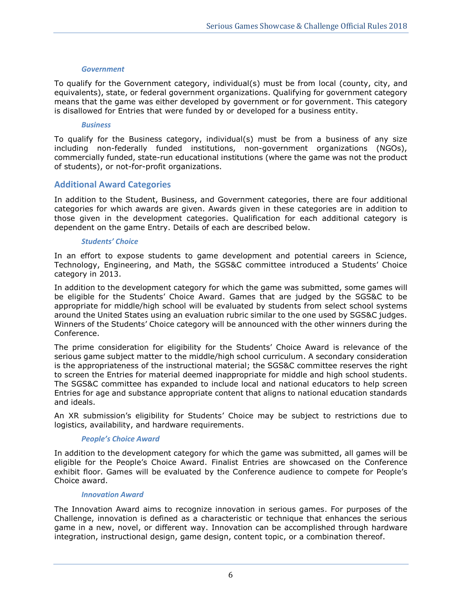#### *Government*

<span id="page-5-0"></span>To qualify for the Government category, individual(s) must be from local (county, city, and equivalents), state, or federal government organizations. Qualifying for government category means that the game was either developed by government or for government. This category is disallowed for Entries that were funded by or developed for a business entity.

#### *Business*

<span id="page-5-1"></span>To qualify for the Business category, individual(s) must be from a business of any size including non-federally funded institutions, non-government organizations (NGOs), commercially funded, state-run educational institutions (where the game was not the product of students), or not-for-profit organizations.

## <span id="page-5-2"></span>**Additional Award Categories**

In addition to the Student, Business, and Government categories, there are four additional categories for which awards are given. Awards given in these categories are in addition to those given in the development categories. Qualification for each additional category is dependent on the game Entry. Details of each are described below.

#### *Students' Choice*

<span id="page-5-3"></span>In an effort to expose students to game development and potential careers in Science, Technology, Engineering, and Math, the SGS&C committee introduced a Students' Choice category in 2013.

In addition to the development category for which the game was submitted, some games will be eligible for the Students' Choice Award. Games that are judged by the SGS&C to be appropriate for middle/high school will be evaluated by students from select school systems around the United States using an evaluation rubric similar to the one used by SGS&C judges. Winners of the Students' Choice category will be announced with the other winners during the Conference.

The prime consideration for eligibility for the Students' Choice Award is relevance of the serious game subject matter to the middle/high school curriculum. A secondary consideration is the appropriateness of the instructional material; the SGS&C committee reserves the right to screen the Entries for material deemed inappropriate for middle and high school students. The SGS&C committee has expanded to include local and national educators to help screen Entries for age and substance appropriate content that aligns to national education standards and ideals.

<span id="page-5-4"></span>An XR submission's eligibility for Students' Choice may be subject to restrictions due to logistics, availability, and hardware requirements.

### *People's Choice Award*

In addition to the development category for which the game was submitted, all games will be eligible for the People's Choice Award. Finalist Entries are showcased on the Conference exhibit floor. Games will be evaluated by the Conference audience to compete for People's Choice award.

### *Innovation Award*

<span id="page-5-5"></span>The Innovation Award aims to recognize innovation in serious games. For purposes of the Challenge, innovation is defined as a characteristic or technique that enhances the serious game in a new, novel, or different way. Innovation can be accomplished through hardware integration, instructional design, game design, content topic, or a combination thereof.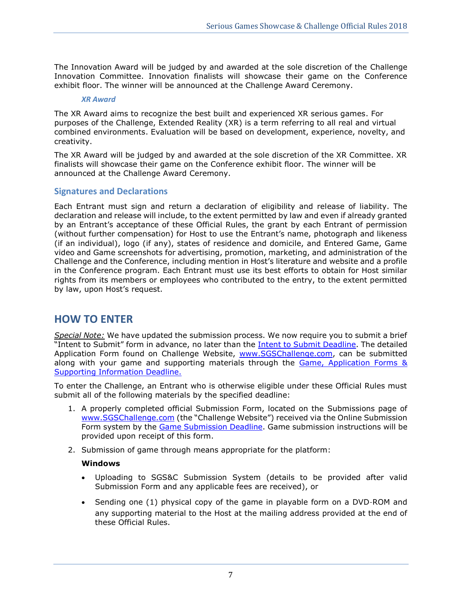The Innovation Award will be judged by and awarded at the sole discretion of the Challenge Innovation Committee. Innovation finalists will showcase their game on the Conference exhibit floor. The winner will be announced at the Challenge Award Ceremony.

#### *XR Award*

<span id="page-6-0"></span>The XR Award aims to recognize the best built and experienced XR serious games. For purposes of the Challenge, Extended Reality (XR) is a term referring to all real and virtual combined environments. Evaluation will be based on development, experience, novelty, and creativity.

The XR Award will be judged by and awarded at the sole discretion of the XR Committee. XR finalists will showcase their game on the Conference exhibit floor. The winner will be announced at the Challenge Award Ceremony.

### <span id="page-6-1"></span>**Signatures and Declarations**

Each Entrant must sign and return a declaration of eligibility and release of liability. The declaration and release will include, to the extent permitted by law and even if already granted by an Entrant's acceptance of these Official Rules, the grant by each Entrant of permission (without further compensation) for Host to use the Entrant's name, photograph and likeness (if an individual), logo (if any), states of residence and domicile, and Entered Game, Game video and Game screenshots for advertising, promotion, marketing, and administration of the Challenge and the Conference, including mention in Host's literature and website and a profile in the Conference program. Each Entrant must use its best efforts to obtain for Host similar rights from its members or employees who contributed to the entry, to the extent permitted by law, upon Host's request.

## <span id="page-6-2"></span>**HOW TO ENTER**

*Special Note:* We have updated the submission process. We now require you to submit a brief "Intent to Submit" form in advance, no later than the [Intent to Submit Deadline.](#page-2-1) The detailed Application Form found on Challenge Website, [www.SGSChallenge.com,](http://www.sgschallenge.com/) can be submitted along with your game and supporting materials through the [Game, Application Forms](#page-2-1) & [Supporting Information Deadline.](#page-2-1)

To enter the Challenge, an Entrant who is otherwise eligible under these Official Rules must submit all of the following materials by the specified deadline:

- 1. A properly completed official Submission Form, located on the Submissions page of [www.SGSChallenge.com](http://www.sgschallenge.com/) (the "Challenge Website") received via the Online Submission Form system by the Game Submission Deadline. Game submission instructions will be provided upon receipt of this form.
- 2. Submission of game through means appropriate for the platform:

### **Windows**

- Uploading to SGS&C Submission System (details to be provided after valid Submission Form and any applicable fees are received), or
- Sending one (1) physical copy of the game in playable form on a DVD-ROM and any supporting material to the Host at the mailing address provided at the end of these Official Rules.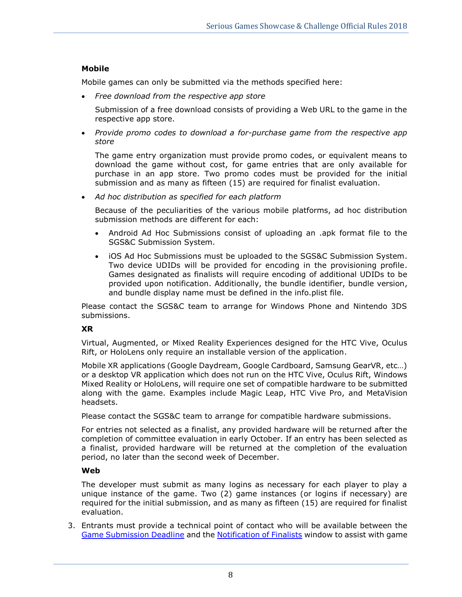## **Mobile**

Mobile games can only be submitted via the methods specified here:

• *Free download from the respective app store*

Submission of a free download consists of providing a Web URL to the game in the respective app store.

• *Provide promo codes to download a for-purchase game from the respective app store*

The game entry organization must provide promo codes, or equivalent means to download the game without cost, for game entries that are only available for purchase in an app store. Two promo codes must be provided for the initial submission and as many as fifteen (15) are required for finalist evaluation.

• *Ad hoc distribution as specified for each platform*

Because of the peculiarities of the various mobile platforms, ad hoc distribution submission methods are different for each:

- Android Ad Hoc Submissions consist of uploading an .apk format file to the SGS&C Submission System.
- iOS Ad Hoc Submissions must be uploaded to the SGS&C Submission System. Two device UDIDs will be provided for encoding in the provisioning profile. Games designated as finalists will require encoding of additional UDIDs to be provided upon notification. Additionally, the bundle identifier, bundle version, and bundle display name must be defined in the info.plist file.

Please contact the SGS&C team to arrange for Windows Phone and Nintendo 3DS submissions.

## **XR**

Virtual, Augmented, or Mixed Reality Experiences designed for the HTC Vive, Oculus Rift, or HoloLens only require an installable version of the application.

Mobile XR applications (Google Daydream, Google Cardboard, Samsung GearVR, etc…) or a desktop VR application which does not run on the HTC Vive, Oculus Rift, Windows Mixed Reality or HoloLens, will require one set of compatible hardware to be submitted along with the game. Examples include Magic Leap, HTC Vive Pro, and MetaVision headsets.

Please contact the SGS&C team to arrange for compatible hardware submissions.

For entries not selected as a finalist, any provided hardware will be returned after the completion of committee evaluation in early October. If an entry has been selected as a finalist, provided hardware will be returned at the completion of the evaluation period, no later than the second week of December.

### **Web**

The developer must submit as many logins as necessary for each player to play a unique instance of the game. Two (2) game instances (or logins if necessary) are required for the initial submission, and as many as fifteen (15) are required for finalist evaluation.

3. Entrants must provide a technical point of contact who will be available between the Game Submission Deadline and the [Notification of Finalists](#page-2-4) window to assist with game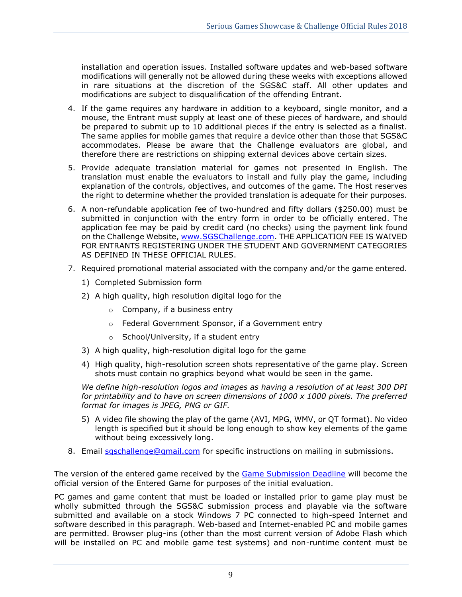installation and operation issues. Installed software updates and web-based software modifications will generally not be allowed during these weeks with exceptions allowed in rare situations at the discretion of the SGS&C staff. All other updates and modifications are subject to disqualification of the offending Entrant.

- 4. If the game requires any hardware in addition to a keyboard, single monitor, and a mouse, the Entrant must supply at least one of these pieces of hardware, and should be prepared to submit up to 10 additional pieces if the entry is selected as a finalist. The same applies for mobile games that require a device other than those that SGS&C accommodates. Please be aware that the Challenge evaluators are global, and therefore there are restrictions on shipping external devices above certain sizes.
- 5. Provide adequate translation material for games not presented in English. The translation must enable the evaluators to install and fully play the game, including explanation of the controls, objectives, and outcomes of the game. The Host reserves the right to determine whether the provided translation is adequate for their purposes.
- 6. A non-refundable application fee of two-hundred and fifty dollars (\$250.00) must be submitted in conjunction with the entry form in order to be officially entered. The application fee may be paid by credit card (no checks) using the payment link found on the Challenge Website, [www.SGSChallenge.com.](http://www.sgschallenge.com/) THE APPLICATION FEE IS WAIVED FOR ENTRANTS REGISTERING UNDER THE STUDENT AND GOVERNMENT CATEGORIES AS DEFINED IN THESE OFFICIAL RULES.
- 7. Required promotional material associated with the company and/or the game entered.
	- 1) Completed Submission form
	- 2) A high quality, high resolution digital logo for the
		- o Company, if a business entry
		- o Federal Government Sponsor, if a Government entry
		- o School/University, if a student entry
	- 3) A high quality, high-resolution digital logo for the game
	- 4) High quality, high-resolution screen shots representative of the game play. Screen shots must contain no graphics beyond what would be seen in the game.

*We define high-resolution logos and images as having a resolution of at least 300 DPI for printability and to have on screen dimensions of 1000 x 1000 pixels. The preferred format for images is JPEG, PNG or GIF.*

- 5) A video file showing the play of the game (AVI, MPG, WMV, or QT format). No video length is specified but it should be long enough to show key elements of the game without being excessively long.
- 8. Email saschallenge@gmail.com for specific instructions on mailing in submissions.

The version of the entered game received by the Game Submission Deadline will become the official version of the Entered Game for purposes of the initial evaluation.

PC games and game content that must be loaded or installed prior to game play must be wholly submitted through the SGS&C submission process and playable via the software submitted and available on a stock Windows 7 PC connected to high-speed Internet and software described in this paragraph. Web-based and Internet-enabled PC and mobile games are permitted. Browser plug-ins (other than the most current version of Adobe Flash which will be installed on PC and mobile game test systems) and non-runtime content must be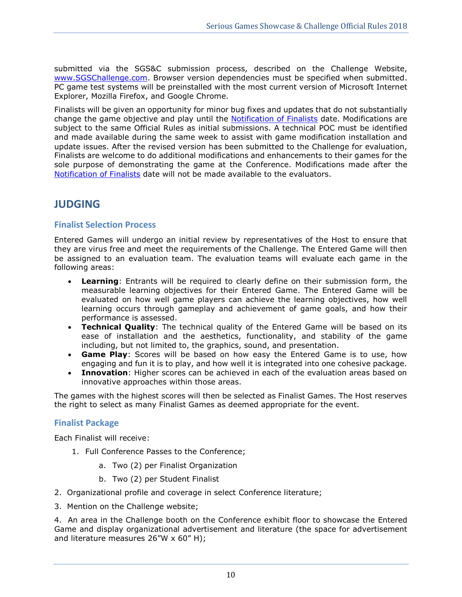submitted via the SGS&C submission process, described on the Challenge Website, [www.SGSChallenge.com.](http://www.sgschallenge.com/) Browser version dependencies must be specified when submitted. PC game test systems will be preinstalled with the most current version of Microsoft Internet Explorer, Mozilla Firefox, and Google Chrome.

Finalists will be given an opportunity for minor bug fixes and updates that do not substantially change the game objective and play until the [Notification of Finalists](#page-2-4) date. Modifications are subject to the same Official Rules as initial submissions. A technical POC must be identified and made available during the same week to assist with game modification installation and update issues. After the revised version has been submitted to the Challenge for evaluation, Finalists are welcome to do additional modifications and enhancements to their games for the sole purpose of demonstrating the game at the Conference. Modifications made after the [Notification of Finalists](#page-2-4) date will not be made available to the evaluators.

# <span id="page-9-0"></span>**JUDGING**

## <span id="page-9-1"></span>**Finalist Selection Process**

Entered Games will undergo an initial review by representatives of the Host to ensure that they are virus free and meet the requirements of the Challenge. The Entered Game will then be assigned to an evaluation team. The evaluation teams will evaluate each game in the following areas:

- **Learning**: Entrants will be required to clearly define on their submission form, the measurable learning objectives for their Entered Game. The Entered Game will be evaluated on how well game players can achieve the learning objectives, how well learning occurs through gameplay and achievement of game goals, and how their performance is assessed.
- **Technical Quality**: The technical quality of the Entered Game will be based on its ease of installation and the aesthetics, functionality, and stability of the game including, but not limited to, the graphics, sound, and presentation.
- **Game Play**: Scores will be based on how easy the Entered Game is to use, how engaging and fun it is to play, and how well it is integrated into one cohesive package.
- **Innovation**: Higher scores can be achieved in each of the evaluation areas based on innovative approaches within those areas.

The games with the highest scores will then be selected as Finalist Games. The Host reserves the right to select as many Finalist Games as deemed appropriate for the event.

## <span id="page-9-2"></span>**Finalist Package**

Each Finalist will receive:

- 1. Full Conference Passes to the Conference;
	- a. Two (2) per Finalist Organization
	- b. Two (2) per Student Finalist
- 2. Organizational profile and coverage in select Conference literature;
- 3. Mention on the Challenge website;

4. An area in the Challenge booth on the Conference exhibit floor to showcase the Entered Game and display organizational advertisement and literature (the space for advertisement and literature measures  $26''W \times 60''$  H);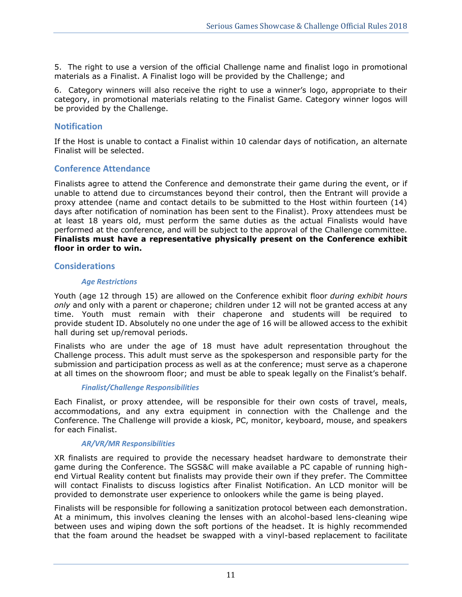5. The right to use a version of the official Challenge name and finalist logo in promotional materials as a Finalist. A Finalist logo will be provided by the Challenge; and

6. Category winners will also receive the right to use a winner's logo, appropriate to their category, in promotional materials relating to the Finalist Game. Category winner logos will be provided by the Challenge.

## <span id="page-10-0"></span>**Notification**

If the Host is unable to contact a Finalist within 10 calendar days of notification, an alternate Finalist will be selected.

### <span id="page-10-1"></span>**Conference Attendance**

Finalists agree to attend the Conference and demonstrate their game during the event, or if unable to attend due to circumstances beyond their control, then the Entrant will provide a proxy attendee (name and contact details to be submitted to the Host within fourteen (14) days after notification of nomination has been sent to the Finalist). Proxy attendees must be at least 18 years old, must perform the same duties as the actual Finalists would have performed at the conference, and will be subject to the approval of the Challenge committee. **Finalists must have a representative physically present on the Conference exhibit floor in order to win.**

### <span id="page-10-3"></span><span id="page-10-2"></span>**Considerations**

#### *Age Restrictions*

Youth (age 12 through 15) are allowed on the Conference exhibit floor *during exhibit hours only* and only with a parent or chaperone; children under 12 will not be granted access at any time. Youth must remain with their chaperone and students will be required to provide student ID. Absolutely no one under the age of 16 will be allowed access to the exhibit hall during set up/removal periods.

Finalists who are under the age of 18 must have adult representation throughout the Challenge process. This adult must serve as the spokesperson and responsible party for the submission and participation process as well as at the conference; must serve as a chaperone at all times on the showroom floor; and must be able to speak legally on the Finalist's behalf.

### *Finalist/Challenge Responsibilities*

<span id="page-10-4"></span>Each Finalist, or proxy attendee, will be responsible for their own costs of travel, meals, accommodations, and any extra equipment in connection with the Challenge and the Conference. The Challenge will provide a kiosk, PC, monitor, keyboard, mouse, and speakers for each Finalist.

### *AR/VR/MR Responsibilities*

<span id="page-10-5"></span>XR finalists are required to provide the necessary headset hardware to demonstrate their game during the Conference. The SGS&C will make available a PC capable of running highend Virtual Reality content but finalists may provide their own if they prefer. The Committee will contact Finalists to discuss logistics after Finalist Notification. An LCD monitor will be provided to demonstrate user experience to onlookers while the game is being played.

Finalists will be responsible for following a sanitization protocol between each demonstration. At a minimum, this involves cleaning the lenses with an alcohol-based lens-cleaning wipe between uses and wiping down the soft portions of the headset. It is highly recommended that the foam around the headset be swapped with a vinyl-based replacement to facilitate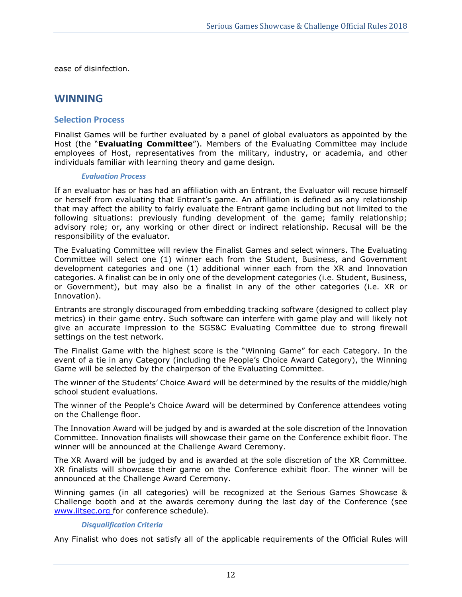<span id="page-11-0"></span>ease of disinfection.

# **WINNING**

## <span id="page-11-1"></span>**Selection Process**

Finalist Games will be further evaluated by a panel of global evaluators as appointed by the Host (the "**Evaluating Committee**"). Members of the Evaluating Committee may include employees of Host, representatives from the military, industry, or academia, and other individuals familiar with learning theory and game design.

### *Evaluation Process*

<span id="page-11-2"></span>If an evaluator has or has had an affiliation with an Entrant, the Evaluator will recuse himself or herself from evaluating that Entrant's game. An affiliation is defined as any relationship that may affect the ability to fairly evaluate the Entrant game including but not limited to the following situations: previously funding development of the game; family relationship; advisory role; or, any working or other direct or indirect relationship. Recusal will be the responsibility of the evaluator.

The Evaluating Committee will review the Finalist Games and select winners. The Evaluating Committee will select one (1) winner each from the Student, Business, and Government development categories and one (1) additional winner each from the XR and Innovation categories. A finalist can be in only one of the development categories (i.e. Student, Business, or Government), but may also be a finalist in any of the other categories (i.e. XR or Innovation).

Entrants are strongly discouraged from embedding tracking software (designed to collect play metrics) in their game entry. Such software can interfere with game play and will likely not give an accurate impression to the SGS&C Evaluating Committee due to strong firewall settings on the test network.

The Finalist Game with the highest score is the "Winning Game" for each Category. In the event of a tie in any Category (including the People's Choice Award Category), the Winning Game will be selected by the chairperson of the Evaluating Committee.

The winner of the Students' Choice Award will be determined by the results of the middle/high school student evaluations.

The winner of the People's Choice Award will be determined by Conference attendees voting on the Challenge floor.

The Innovation Award will be judged by and is awarded at the sole discretion of the Innovation Committee. Innovation finalists will showcase their game on the Conference exhibit floor. The winner will be announced at the Challenge Award Ceremony.

The XR Award will be judged by and is awarded at the sole discretion of the XR Committee. XR finalists will showcase their game on the Conference exhibit floor. The winner will be announced at the Challenge Award Ceremony.

Winning games (in all categories) will be recognized at the Serious Games Showcase & Challenge booth and at the awards ceremony during the last day of the Conference (see www.iitsec.org for conference schedule).

### *Disqualification Criteria*

<span id="page-11-3"></span>Any Finalist who does not satisfy all of the applicable requirements of the Official Rules will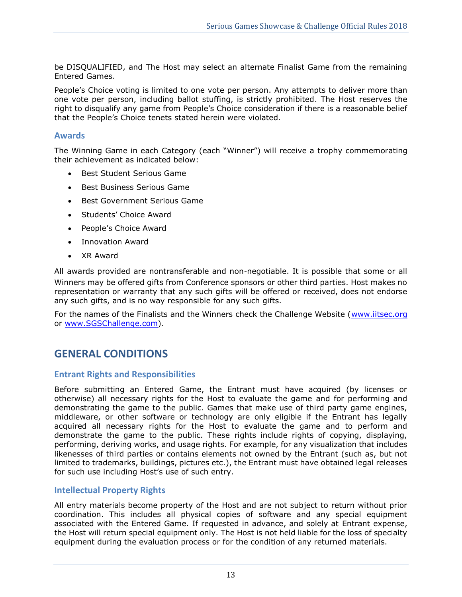be DISQUALIFIED, and The Host may select an alternate Finalist Game from the remaining Entered Games.

People's Choice voting is limited to one vote per person. Any attempts to deliver more than one vote per person, including ballot stuffing, is strictly prohibited. The Host reserves the right to disqualify any game from People's Choice consideration if there is a reasonable belief that the People's Choice tenets stated herein were violated.

### <span id="page-12-0"></span>**Awards**

The Winning Game in each Category (each "Winner") will receive a trophy commemorating their achievement as indicated below:

- Best Student Serious Game
- Best Business Serious Game
- Best Government Serious Game
- Students' Choice Award
- People's Choice Award
- Innovation Award
- XR Award

All awards provided are nontransferable and non-negotiable. It is possible that some or all Winners may be offered gifts from Conference sponsors or other third parties. Host makes no representation or warranty that any such gifts will be offered or received, does not endorse any such gifts, and is no way responsible for any such gifts.

<span id="page-12-1"></span>For the names of the Finalists and the Winners check the Challenge Website [\(www.iitsec.org](http://www.iitsec.org/) or [www.SGSChallenge.com\)](http://www.sgschallenge.com/).

## **GENERAL CONDITIONS**

## <span id="page-12-2"></span>**Entrant Rights and Responsibilities**

Before submitting an Entered Game, the Entrant must have acquired (by licenses or otherwise) all necessary rights for the Host to evaluate the game and for performing and demonstrating the game to the public. Games that make use of third party game engines, middleware, or other software or technology are only eligible if the Entrant has legally acquired all necessary rights for the Host to evaluate the game and to perform and demonstrate the game to the public. These rights include rights of copying, displaying, performing, deriving works, and usage rights. For example, for any visualization that includes likenesses of third parties or contains elements not owned by the Entrant (such as, but not limited to trademarks, buildings, pictures etc.), the Entrant must have obtained legal releases for such use including Host's use of such entry.

## <span id="page-12-3"></span>**Intellectual Property Rights**

All entry materials become property of the Host and are not subject to return without prior coordination. This includes all physical copies of software and any special equipment associated with the Entered Game. If requested in advance, and solely at Entrant expense, the Host will return special equipment only. The Host is not held liable for the loss of specialty equipment during the evaluation process or for the condition of any returned materials.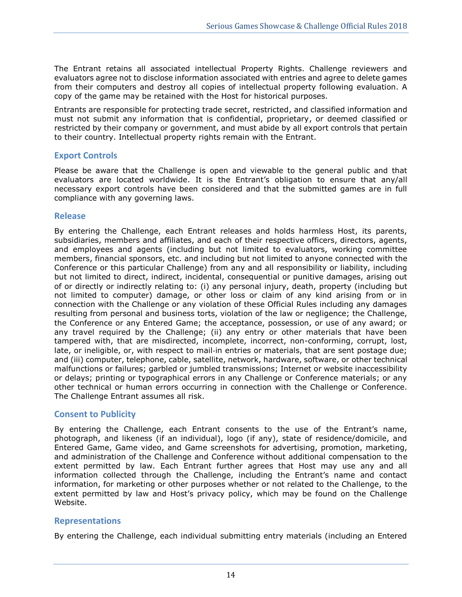The Entrant retains all associated intellectual Property Rights. Challenge reviewers and evaluators agree not to disclose information associated with entries and agree to delete games from their computers and destroy all copies of intellectual property following evaluation. A copy of the game may be retained with the Host for historical purposes.

Entrants are responsible for protecting trade secret, restricted, and classified information and must not submit any information that is confidential, proprietary, or deemed classified or restricted by their company or government, and must abide by all export controls that pertain to their country. Intellectual property rights remain with the Entrant.

## <span id="page-13-0"></span>**Export Controls**

Please be aware that the Challenge is open and viewable to the general public and that evaluators are located worldwide. It is the Entrant's obligation to ensure that any/all necessary export controls have been considered and that the submitted games are in full compliance with any governing laws.

## <span id="page-13-1"></span>**Release**

By entering the Challenge, each Entrant releases and holds harmless Host, its parents, subsidiaries, members and affiliates, and each of their respective officers, directors, agents, and employees and agents (including but not limited to evaluators, working committee members, financial sponsors, etc. and including but not limited to anyone connected with the Conference or this particular Challenge) from any and all responsibility or liability, including but not limited to direct, indirect, incidental, consequential or punitive damages, arising out of or directly or indirectly relating to: (i) any personal injury, death, property (including but not limited to computer) damage, or other loss or claim of any kind arising from or in connection with the Challenge or any violation of these Official Rules including any damages resulting from personal and business torts, violation of the law or negligence; the Challenge, the Conference or any Entered Game; the acceptance, possession, or use of any award; or any travel required by the Challenge; (ii) any entry or other materials that have been tampered with, that are misdirected, incomplete, incorrect, non-conforming, corrupt, lost, late, or ineligible, or, with respect to mail-in entries or materials, that are sent postage due; and (iii) computer, telephone, cable, satellite, network, hardware, software, or other technical malfunctions or failures; garbled or jumbled transmissions; Internet or website inaccessibility or delays; printing or typographical errors in any Challenge or Conference materials; or any other technical or human errors occurring in connection with the Challenge or Conference. The Challenge Entrant assumes all risk.

## <span id="page-13-2"></span>**Consent to Publicity**

By entering the Challenge, each Entrant consents to the use of the Entrant's name, photograph, and likeness (if an individual), logo (if any), state of residence/domicile, and Entered Game, Game video, and Game screenshots for advertising, promotion, marketing, and administration of the Challenge and Conference without additional compensation to the extent permitted by law. Each Entrant further agrees that Host may use any and all information collected through the Challenge, including the Entrant's name and contact information, for marketing or other purposes whether or not related to the Challenge, to the extent permitted by law and Host's privacy policy, which may be found on the Challenge Website.

## <span id="page-13-3"></span>**Representations**

By entering the Challenge, each individual submitting entry materials (including an Entered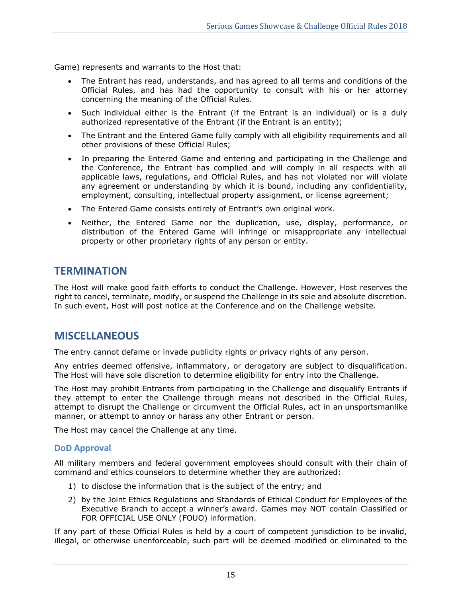Game) represents and warrants to the Host that:

- The Entrant has read, understands, and has agreed to all terms and conditions of the Official Rules, and has had the opportunity to consult with his or her attorney concerning the meaning of the Official Rules.
- Such individual either is the Entrant (if the Entrant is an individual) or is a duly authorized representative of the Entrant (if the Entrant is an entity);
- The Entrant and the Entered Game fully comply with all eligibility requirements and all other provisions of these Official Rules;
- In preparing the Entered Game and entering and participating in the Challenge and the Conference, the Entrant has complied and will comply in all respects with all applicable laws, regulations, and Official Rules, and has not violated nor will violate any agreement or understanding by which it is bound, including any confidentiality, employment, consulting, intellectual property assignment, or license agreement;
- The Entered Game consists entirely of Entrant's own original work.
- Neither, the Entered Game nor the duplication, use, display, performance, or distribution of the Entered Game will infringe or misappropriate any intellectual property or other proprietary rights of any person or entity.

## <span id="page-14-0"></span>**TERMINATION**

The Host will make good faith efforts to conduct the Challenge. However, Host reserves the right to cancel, terminate, modify, or suspend the Challenge in its sole and absolute discretion. In such event, Host will post notice at the Conference and on the Challenge website.

## <span id="page-14-1"></span>**MISCELLANEOUS**

The entry cannot defame or invade publicity rights or privacy rights of any person.

Any entries deemed offensive, inflammatory, or derogatory are subject to disqualification. The Host will have sole discretion to determine eligibility for entry into the Challenge.

The Host may prohibit Entrants from participating in the Challenge and disqualify Entrants if they attempt to enter the Challenge through means not described in the Official Rules, attempt to disrupt the Challenge or circumvent the Official Rules, act in an unsportsmanlike manner, or attempt to annoy or harass any other Entrant or person.

<span id="page-14-2"></span>The Host may cancel the Challenge at any time.

## **DoD Approval**

All military members and federal government employees should consult with their chain of command and ethics counselors to determine whether they are authorized:

- 1) to disclose the information that is the subject of the entry; and
- 2) by the Joint Ethics Regulations and Standards of Ethical Conduct for Employees of the Executive Branch to accept a winner's award. Games may NOT contain Classified or FOR OFFICIAL USE ONLY (FOUO) information.

If any part of these Official Rules is held by a court of competent jurisdiction to be invalid, illegal, or otherwise unenforceable, such part will be deemed modified or eliminated to the